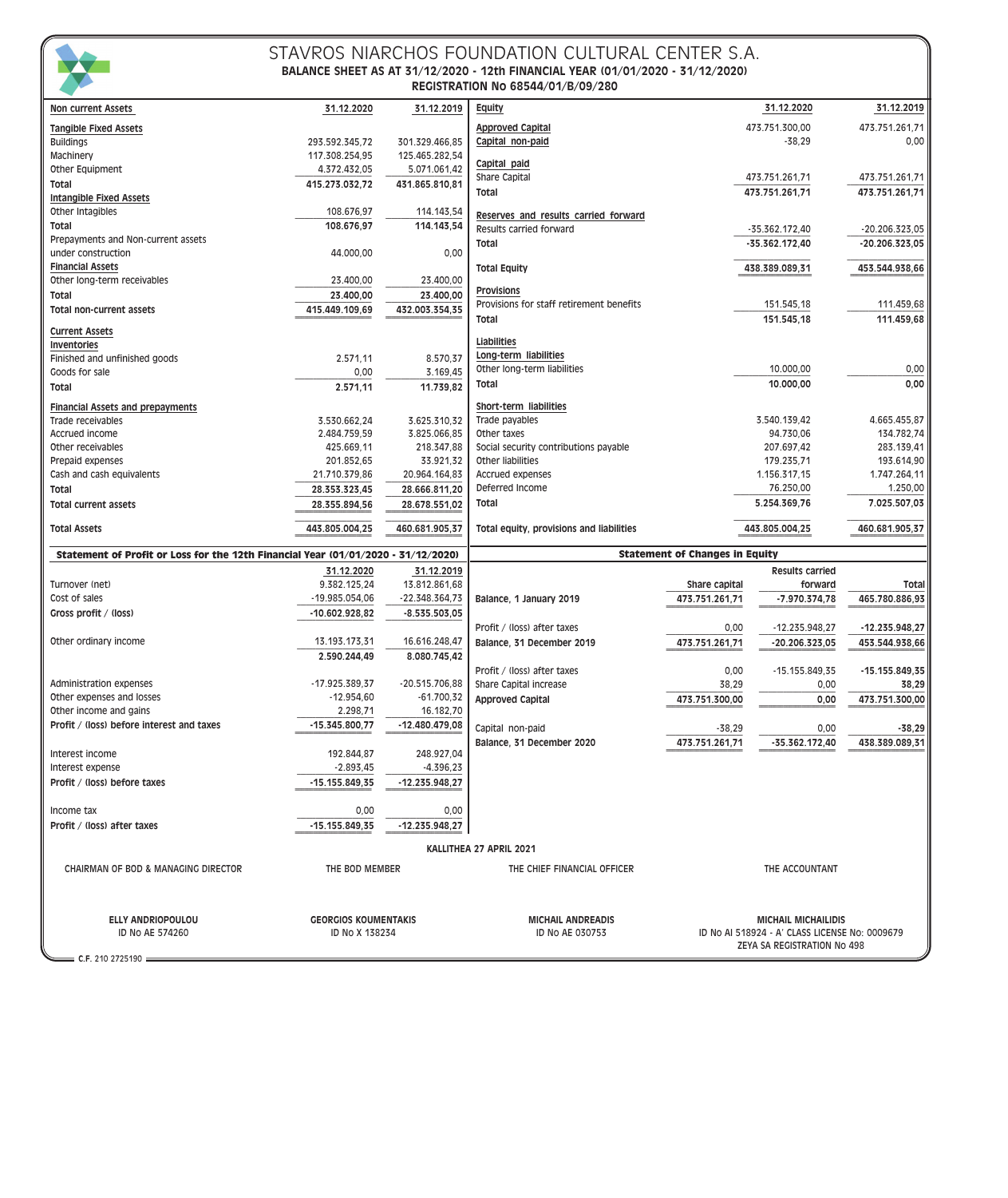

#### STAVROS NIARCHOS FOUNDATION CULTURAL CENTER S.A. **BALANCE SHEET AS AT 31/12/2020 - 12th FINANCIAL YEAR (01/01/2020 - 31/12/2020) REGISTRATION No 68544/01/B/09/280**

| <b>Non current Assets</b>                                                         | 31.12.2020                  | 31.12.2019                       | <b>Equity</b>                                 |                                       | 31.12.2020                 | 31.12.2019       |
|-----------------------------------------------------------------------------------|-----------------------------|----------------------------------|-----------------------------------------------|---------------------------------------|----------------------------|------------------|
| <b>Tangible Fixed Assets</b>                                                      |                             |                                  | <b>Approved Capital</b>                       |                                       | 473.751.300,00             | 473.751.261,71   |
| <b>Buildings</b>                                                                  | 293.592.345,72              | 301.329.466,85                   | Capital non-paid                              |                                       | $-38,29$                   | 0,00             |
| Machinery                                                                         | 117.308.254,95              | 125.465.282,54                   |                                               |                                       |                            |                  |
| Other Equipment                                                                   | 4.372.432,05                | 5.071.061,42                     | Capital paid                                  |                                       |                            |                  |
| Total                                                                             | 415.273.032,72              | 431.865.810,81                   | Share Capital                                 |                                       | 473.751.261,71             | 473.751.261,71   |
| <b>Intangible Fixed Assets</b>                                                    |                             |                                  | Total                                         |                                       | 473.751.261.71             | 473.751.261,71   |
| Other Intagibles                                                                  | 108.676,97                  | 114.143,54                       |                                               |                                       |                            |                  |
|                                                                                   | 108.676,97                  |                                  | Reserves and results carried forward          |                                       |                            |                  |
| Total<br>Prepayments and Non-current assets                                       |                             | 114.143,54                       | Results carried forward                       |                                       | -35.362.172,40             | $-20.206.323.05$ |
| under construction                                                                |                             |                                  | Total                                         |                                       | $-35.362.172.40$           | $-20.206.323.05$ |
|                                                                                   | 44.000,00                   | 0,00                             |                                               |                                       |                            |                  |
| <b>Financial Assets</b>                                                           |                             |                                  | <b>Total Equity</b>                           |                                       | 438.389.089,31             | 453.544.938,66   |
| Other long-term receivables                                                       | 23.400,00                   | 23.400,00                        | <b>Provisions</b>                             |                                       |                            |                  |
| Total                                                                             | 23.400,00                   | 23.400,00                        | Provisions for staff retirement benefits      |                                       | 151.545,18                 | 111.459,68       |
| Total non-current assets                                                          | 415.449.109,69              | 432.003.354,35                   | Total                                         |                                       | 151.545,18                 | 111.459,68       |
| <b>Current Assets</b>                                                             |                             |                                  |                                               |                                       |                            |                  |
| Inventories                                                                       |                             |                                  | Liabilities                                   |                                       |                            |                  |
| Finished and unfinished goods                                                     | 2.571,11                    | 8.570,37                         | Long-term liabilities                         |                                       |                            |                  |
| Goods for sale                                                                    | 0,00                        | 3.169,45                         | Other long-term liabilities                   |                                       | 10.000,00                  | 0,00             |
| Total                                                                             | 2.571,11                    | 11.739,82                        | Total                                         |                                       | 10.000,00                  | 0,00             |
|                                                                                   |                             |                                  |                                               |                                       |                            |                  |
| <b>Financial Assets and prepayments</b>                                           |                             |                                  | Short-term liabilities                        |                                       |                            |                  |
| Trade receivables                                                                 | 3.530.662,24                | 3.625.310,32                     | Trade payables                                |                                       | 3.540.139,42               | 4.665.455,87     |
| Accrued income                                                                    | 2.484.759,59                | 3.825.066,85                     | Other taxes                                   |                                       | 94.730,06                  | 134.782,74       |
| Other receivables                                                                 | 425.669,11                  | 218.347,88                       | Social security contributions payable         |                                       | 207.697,42                 | 283.139,41       |
| Prepaid expenses                                                                  | 201.852,65                  | 33.921.32                        | Other liabilities                             |                                       | 179.235,71                 | 193.614,90       |
| Cash and cash equivalents                                                         | 21.710.379,86               | 20.964.164,83                    | Accrued expenses                              |                                       | 1.156.317,15               | 1.747.264.11     |
| Total                                                                             | 28.353.323,45               | 28.666.811,20                    | Deferred Income                               |                                       | 76.250,00                  | 1.250,00         |
| <b>Total current assets</b>                                                       | 28.355.894.56               | 28.678.551,02                    | Total                                         |                                       | 5.254.369,76               | 7.025.507,03     |
| <b>Total Assets</b>                                                               | 443.805.004,25              | 460.681.905,37                   | Total equity, provisions and liabilities      | 443.805.004,25                        |                            | 460.681.905,37   |
| Statement of Profit or Loss for the 12th Financial Year (01/01/2020 - 31/12/2020) |                             |                                  |                                               | <b>Statement of Changes in Equity</b> |                            |                  |
|                                                                                   | 31.12.2020                  | 31.12.2019                       |                                               |                                       | <b>Results carried</b>     |                  |
| Turnover (net)                                                                    | 9.382.125,24                | 13.812.861,68                    |                                               | Share capital                         | forward                    | Total            |
| Cost of sales                                                                     | -19.985.054,06              | $-22.348.364,73$                 | Balance, 1 January 2019                       | 473.751.261,71                        | $-7.970.374,78$            | 465.780.886,93   |
| Gross profit / (loss)                                                             | -10.602.928,82              | $-8.535.503,05$                  |                                               |                                       |                            |                  |
|                                                                                   |                             |                                  | Profit / (loss) after taxes                   | 0,00                                  | -12.235.948,27             | -12.235.948,27   |
| Other ordinary income                                                             | 13.193.173,31               | 16.616.248,47                    | Balance, 31 December 2019                     | 473.751.261,71                        | $-20.206.323,05$           | 453.544.938,66   |
|                                                                                   |                             |                                  |                                               |                                       |                            |                  |
|                                                                                   | 2.590.244,49                | 8.080.745,42                     |                                               |                                       |                            |                  |
|                                                                                   |                             |                                  | Profit / (loss) after taxes                   | 0,00                                  | $-15.155.849.35$           | -15.155.849,35   |
| <b>Administration expenses</b>                                                    | -17.925.389,37              | $-20.515.706,88$<br>$-61.700,32$ | Share Capital increase                        | 38,29                                 | 0,00                       | 38,29            |
| Other expenses and losses                                                         | $-12.954,60$                |                                  | <b>Approved Capital</b>                       | 473.751.300,00                        | 0,00                       | 473.751.300.00   |
| Other income and gains                                                            | 2.298,71                    | 16.182,70                        |                                               |                                       |                            |                  |
| Profit / (loss) before interest and taxes                                         | -15.345.800,77              | -12.480.479,08                   | Capital non-paid                              | $-38,29$                              | 0,00                       | $-38,29$         |
|                                                                                   |                             |                                  | Balance, 31 December 2020                     | 473.751.261,71                        | $-35.362.172.40$           | 438.389.089,31   |
| Interest income                                                                   | 192.844.87                  | 248.927,04                       |                                               |                                       |                            |                  |
| Interest expense                                                                  | $-2.893,45$                 | $-4.396,23$                      |                                               |                                       |                            |                  |
| Profit / (loss) before taxes                                                      | -15.155.849,35              | -12.235.948,27                   |                                               |                                       |                            |                  |
|                                                                                   |                             |                                  |                                               |                                       |                            |                  |
| Income tax                                                                        | 0,00                        | 0,00                             |                                               |                                       |                            |                  |
| Profit / (loss) after taxes                                                       | -15.155.849,35              | -12.235.948,27                   |                                               |                                       |                            |                  |
|                                                                                   |                             |                                  | KALLITHEA 27 APRIL 2021                       |                                       |                            |                  |
| CHAIRMAN OF BOD & MANAGING DIRECTOR                                               | THE BOD MEMBER              |                                  | THE CHIEF FINANCIAL OFFICER<br>THE ACCOUNTANT |                                       |                            |                  |
|                                                                                   |                             |                                  |                                               |                                       |                            |                  |
|                                                                                   |                             |                                  |                                               |                                       |                            |                  |
|                                                                                   | <b>GEORGIOS KOUMENTAKIS</b> |                                  |                                               |                                       |                            |                  |
| <b>ELLY ANDRIOPOULOU</b>                                                          |                             |                                  | <b>MICHAIL ANDREADIS</b>                      |                                       | <b>MICHAIL MICHAILIDIS</b> |                  |

**C.F.** 210 2725190

ID No ΑΕ 574260 ID No Χ 138234 ID No ΑΕ 030753 ID No AI 518924 - A' CLASS LICENSE No: 0009679 ZEYA SA REGISTRATION No 498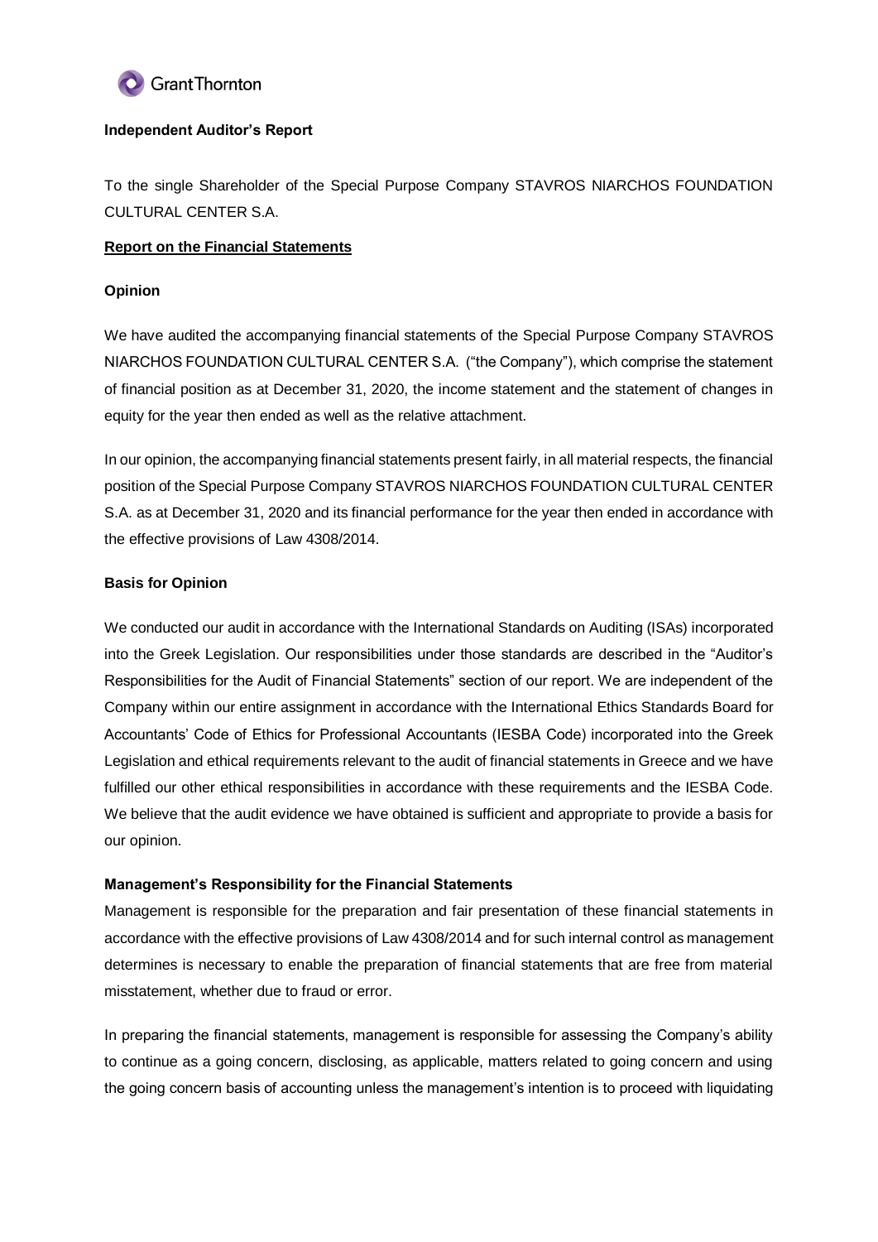

## **Independent Auditor's Report**

To the single Shareholder of the Special Purpose Company STAVROS NIARCHOS FOUNDATION CULTURAL CENTER S.A.

# **Report on the Financial Statements**

## **Opinion**

We have audited the accompanying financial statements of the Special Purpose Company STAVROS NIARCHOS FOUNDATION CULTURAL CENTER S.A. ("the Company"), which comprise the statement of financial position as at December 31, 2020, the income statement and the statement of changes in equity for the year then ended as well as the relative attachment.

In our opinion, the accompanying financial statements present fairly, in all material respects, the financial position of the Special Purpose Company STAVROS NIARCHOS FOUNDATION CULTURAL CENTER S.A. as at December 31, 2020 and its financial performance for the year then ended in accordance with the effective provisions of Law 4308/2014.

# **Basis for Opinion**

We conducted our audit in accordance with the International Standards on Auditing (ISAs) incorporated into the Greek Legislation. Our responsibilities under those standards are described in the "Auditor's Responsibilities for the Audit of Financial Statements" section of our report. We are independent of the Company within our entire assignment in accordance with the International Ethics Standards Board for Accountants' Code of Ethics for Professional Accountants (IESBA Code) incorporated into the Greek Legislation and ethical requirements relevant to the audit of financial statements in Greece and we have fulfilled our other ethical responsibilities in accordance with these requirements and the IESBA Code. We believe that the audit evidence we have obtained is sufficient and appropriate to provide a basis for our opinion.

#### **Management's Responsibility for the Financial Statements**

Management is responsible for the preparation and fair presentation of these financial statements in accordance with the effective provisions of Law 4308/2014 and for such internal control as management determines is necessary to enable the preparation of financial statements that are free from material misstatement, whether due to fraud or error.

In preparing the financial statements, management is responsible for assessing the Company's ability to continue as a going concern, disclosing, as applicable, matters related to going concern and using the going concern basis of accounting unless the management's intention is to proceed with liquidating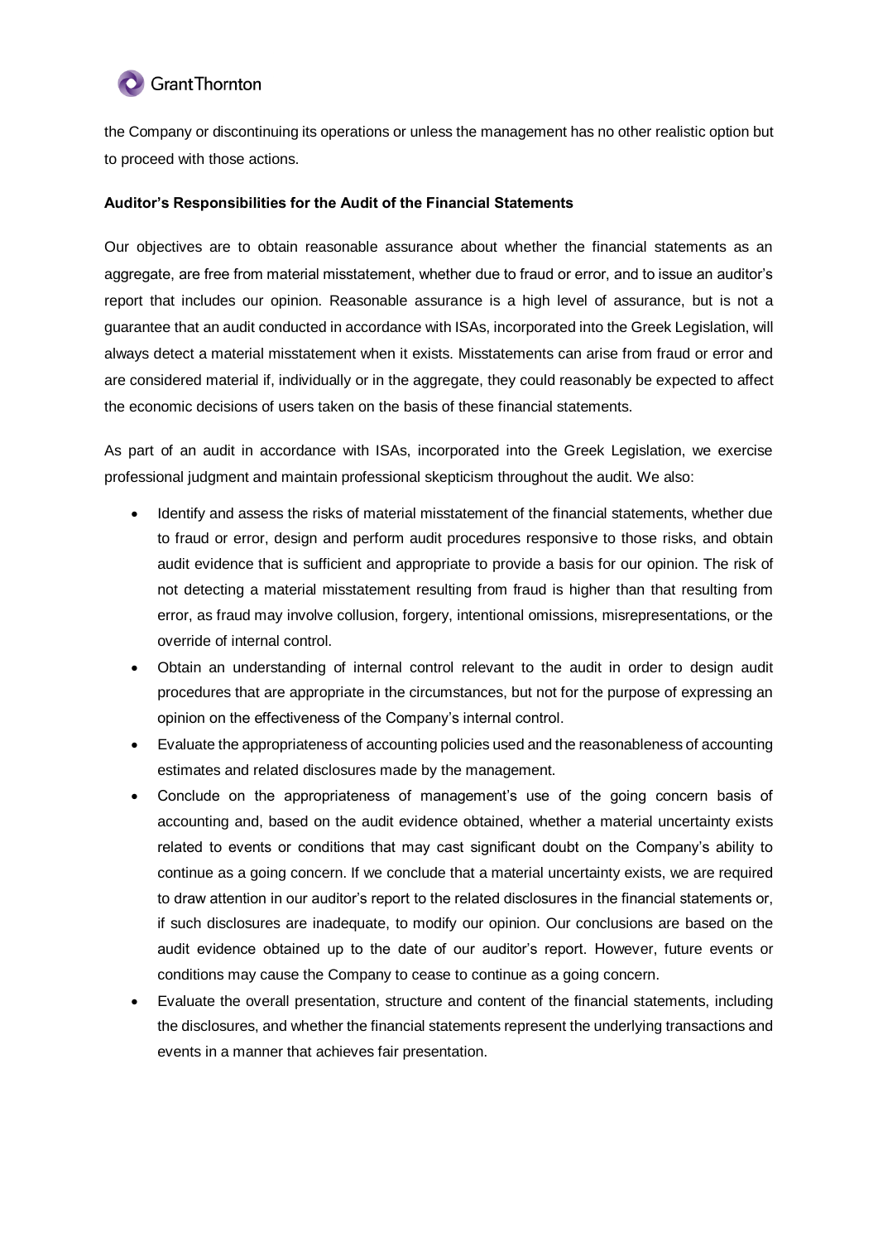# **C** Grant Thornton

the Company or discontinuing its operations or unless the management has no other realistic option but to proceed with those actions.

# **Auditor's Responsibilities for the Audit of the Financial Statements**

Our objectives are to obtain reasonable assurance about whether the financial statements as an aggregate, are free from material misstatement, whether due to fraud or error, and to issue an auditor's report that includes our opinion. Reasonable assurance is a high level of assurance, but is not a guarantee that an audit conducted in accordance with ISAs, incorporated into the Greek Legislation, will always detect a material misstatement when it exists. Misstatements can arise from fraud or error and are considered material if, individually or in the aggregate, they could reasonably be expected to affect the economic decisions of users taken on the basis of these financial statements.

As part of an audit in accordance with ISAs, incorporated into the Greek Legislation, we exercise professional judgment and maintain professional skepticism throughout the audit. We also:

- Identify and assess the risks of material misstatement of the financial statements, whether due to fraud or error, design and perform audit procedures responsive to those risks, and obtain audit evidence that is sufficient and appropriate to provide a basis for our opinion. The risk of not detecting a material misstatement resulting from fraud is higher than that resulting from error, as fraud may involve collusion, forgery, intentional omissions, misrepresentations, or the override of internal control.
- Obtain an understanding of internal control relevant to the audit in order to design audit procedures that are appropriate in the circumstances, but not for the purpose of expressing an opinion on the effectiveness of the Company's internal control.
- Evaluate the appropriateness of accounting policies used and the reasonableness of accounting estimates and related disclosures made by the management.
- Conclude on the appropriateness of management's use of the going concern basis of accounting and, based on the audit evidence obtained, whether a material uncertainty exists related to events or conditions that may cast significant doubt on the Company's ability to continue as a going concern. If we conclude that a material uncertainty exists, we are required to draw attention in our auditor's report to the related disclosures in the financial statements or, if such disclosures are inadequate, to modify our opinion. Our conclusions are based on the audit evidence obtained up to the date of our auditor's report. However, future events or conditions may cause the Company to cease to continue as a going concern.
- Evaluate the overall presentation, structure and content of the financial statements, including the disclosures, and whether the financial statements represent the underlying transactions and events in a manner that achieves fair presentation.